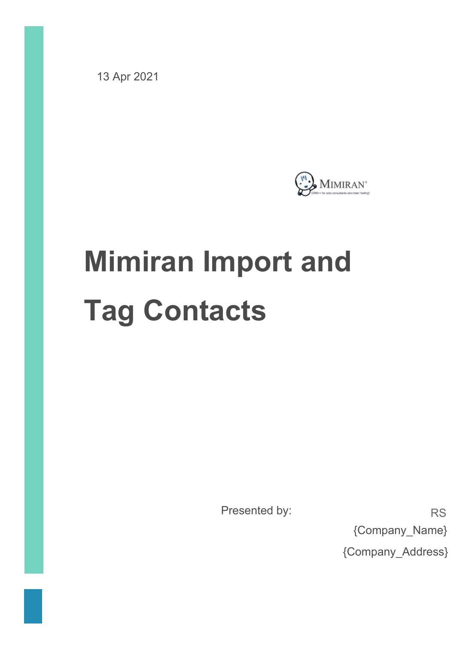13 Apr 2021



# **Mimiran Import and Tag Contacts**

Presented by: RS

{Company\_Name} {Company\_Address}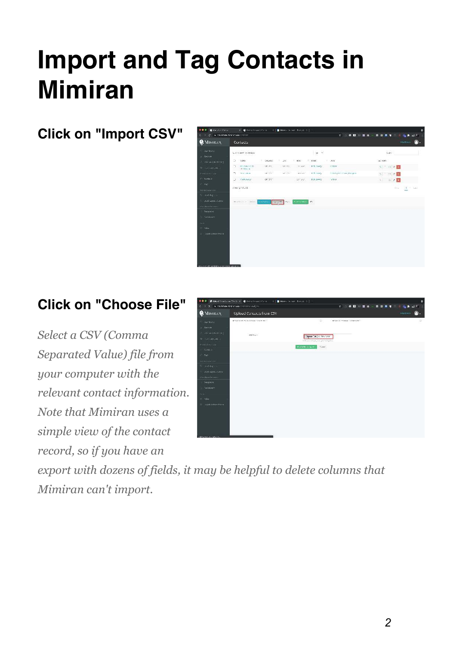# **Import and Tag Contacts in Mimiran**

# **Click on "Import CSV"**



# **Click on "Choose File"**

*Select a CSV (Comma Separated Value) file from your* computer with the *relevant contact information. Note that Mimiran uses a simple view of the contact* record, so if you have an



*export with dozens of fields, it may be helpful to delete columns that Mimiran can't import.*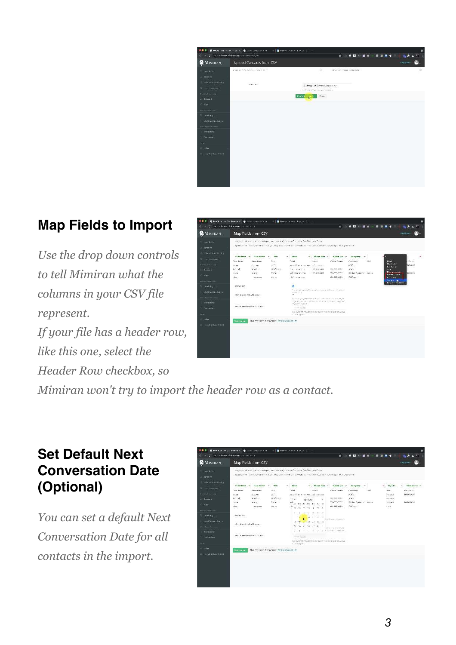

## **Map Fields to Import**

*Use the drop down controls* to tell Mimiran what the *columns in your CSV file represent. If your file has a header row, like this one, select the Header Row checkbox, so*



*Mimiran won't try to import the header row as a contact.* 

#### **Set Default Next Conversation Date (Optional)**

*You can set a default Next Conversation Date for all contacts in the import.* 

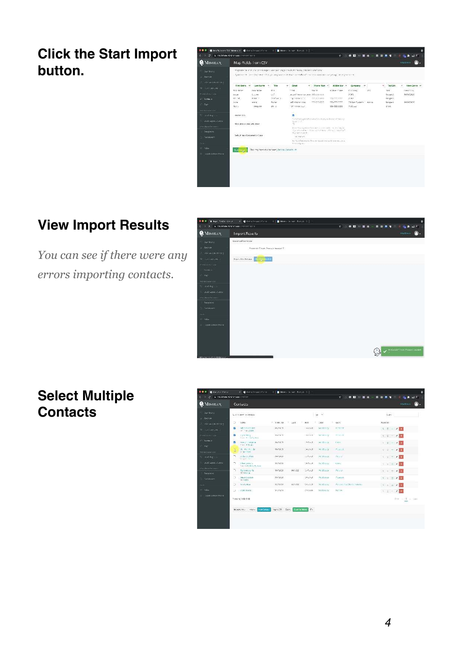**Click the Start Import button.**



## **View Import Results**

*You can see if there were any errors importing contacts.*



#### **Select Multiple Contacts**

| <br><b>B.</b> General Harvar<br>6 Inventory of plans completed in |     | <b>R. G. Licensensitivise</b>                        |                | <b>Blacker Greater Execution I</b> |                        |                 | 0 1 0 0 0<br>客               | ٥<br>$H = \frac{1}{2}$ and $H^+$<br>. .<br>m<br>$\mathbf{m}$ |
|-------------------------------------------------------------------|-----|------------------------------------------------------|----------------|------------------------------------|------------------------|-----------------|------------------------------|--------------------------------------------------------------|
| <b>C</b> MIMIRAN                                                  |     | Contacts                                             |                |                                    |                        |                 |                              | Obstract<br>м                                                |
| Date: Interio<br>$=$ -Reprint                                     |     | L. Chicago T-Davada                                  |                |                                    |                        | $10 - 4$<br>≫   |                              | tiav.                                                        |
| The music Porter of the                                           | э   | $0.684 -$                                            | $= 1346.50$    | $-0.681$<br>٠                      | HHE.                   | c<br>$-361$     | 1465                         | <b>BUILDING</b>                                              |
| the interactions.                                                 | z   | ad minister not<br>IF TASTER                         | TK21221        |                                    | <b>GOOST</b>           | <b>SCONDIN</b>  | 第四名文件                        | $6.5 - 2.7$                                                  |
| <b>TERSTALLS</b>                                                  | ø   | [taleWater]<br>Park Rockettable                      | 1671479        |                                    | Andrei T               | Window          | 通信会社の理                       | 大江 一<br>$\mathcal{F}$                                        |
| 21. Casearo                                                       | ø   | em y: corp.co.                                       | 16-15-21       |                                    | 5175127                | act Bring       | Carto                        | 2 <sup>1</sup><br>$4.10 -$                                   |
| $T = T \Delta C^2$                                                |     | it as of Board                                       |                |                                    |                        |                 |                              |                                                              |
| <b>HIGHLIGHT</b>                                                  | ×   | U. A. S. Jr.<br><b>AVANTON</b>                       | 641301         |                                    | MiddleT                | <b>KC Basis</b> | <b>Paint</b>                 | $\frac{1}{2}$<br>$C = 11$                                    |
| <b>CONTORIOS</b>                                                  | ñ   | believed that.<br><b>Creative</b>                    | 34-15-21       |                                    | 240x1                  | <b>RUBBane</b>  | Blunch                       | CH TIZEL                                                     |
| well-spatchame                                                    | n   | When you a<br>Distribution Schem.                    | 841,821        |                                    | Tacher.                | The Branch      | USSG-                        | $\mathbf{v} \cdot \mathbf{u} = \mathbf{v} \cdot \mathbf{u}$  |
| <b>Chick of Kommer</b><br>Terretwing:                             | 'n. | Bartwritten la<br>dition is                          | 047,621        | 641,652                            | $100 - 10$             | <b>LODGER</b>   | Marish.                      | $= 10$<br>りま                                                 |
| <b>Continued</b>                                                  | n.  | Supplier Support<br>TOACH.                           | 347227         |                                    | 24.241                 | <b>FC Dance</b> | this age of                  | 2.212<br>$K=10$                                              |
| <b>CEN</b>                                                        | э   | <b>Tring User</b>                                    | <b>GATSSET</b> | ecure.                             | 162.1                  | TECPAGE         | Paulosi, Cap Start, Hobbits, | $C = 7$                                                      |
| $=304m$                                                           | ш   | $M$ ad Stacky                                        | A-7521         |                                    | 27/12/21               | technics        | Zannell                      | $1/2$ 1 =<br>$2 - 1$                                         |
| The EAVID Statute Matter                                          |     | Stone 16 (-10 :110)                                  |                |                                    |                        |                 |                              | Temporal at Gast                                             |
|                                                                   |     | Columbus plaintification<br>MonActes - waw honocenes | veentw Dem     | San fir More                       | $\mathcal{C}_{\infty}$ |                 |                              |                                                              |
|                                                                   |     |                                                      |                |                                    |                        |                 |                              |                                                              |
|                                                                   |     |                                                      |                |                                    |                        |                 |                              |                                                              |
|                                                                   |     |                                                      |                |                                    |                        |                 |                              |                                                              |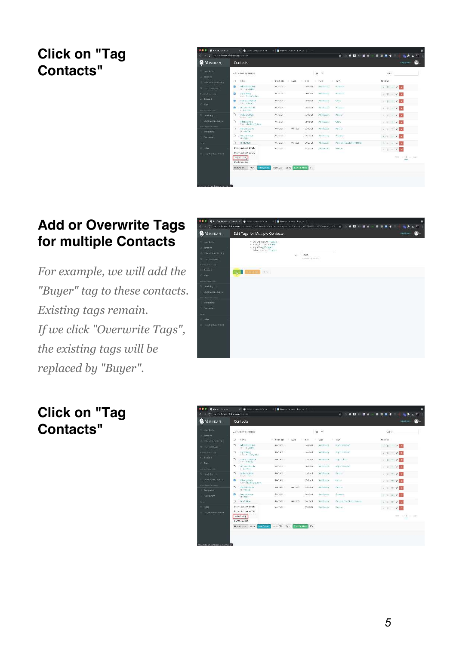#### **Click on "Tag Contacts"**

|                                        |    |                                            |                 |                            |                        |                     | $\mathbf{r}$        |                                                    | <b>Car At ad IT</b> |
|----------------------------------------|----|--------------------------------------------|-----------------|----------------------------|------------------------|---------------------|---------------------|----------------------------------------------------|---------------------|
| <b>C</b> MIMIRAN                       |    | Contacts                                   |                 |                            |                        |                     |                     |                                                    | Chothan.            |
| Date Benefit<br><b>A - Rett av</b>     |    | L. Chi, dave 1 - beneats<br>34.YEA         |                 |                            |                        | $10 - 6$            |                     | <b>State</b>                                       |                     |
| The Minimum C Production of the        | э  | KKM-                                       | $= 1248.80$     | ×<br>LGST.                 | ٠<br>Het               | ×<br>OHI            | tacs.               | manas.                                             |                     |
| we intramate a                         | ø  | ad million no.<br>IF YASANE                | 163321          |                            | <b>GASSET</b>          | <b>SIGRIFICA</b>    | 高度加速                | $6.88 - 6.0$<br>$\sim$ $\blacksquare$              |                     |
| <b>THEATHALE</b>                       | z  | Earle Ward<br>Part 4 Lat. Lat.             | 1621,679        |                            | <b>GANGET</b>          | <b>WEBRAN</b>       | 神戸新江市               | 大江区<br>×<br><b>Ext</b><br>-                        |                     |
| 21 Contable                            | ø  | PRO 200 million<br>nies in Board           | 16-15-21        |                            | 5:35:43                | ※対照的項               | Cattle              | $1.6 -$<br>$\blacksquare$<br>٠                     |                     |
| $T_{\rm MC}$<br><b>MIGRATION MILLS</b> | n  | 00 As 81 lb<br>Friday Store                | 16-13-21        |                            | Facture.               | st. Black           | <b>POINTS</b>       | $C$ $\parallel$ $-$<br>$\mathcal{L} = \mathcal{L}$ |                     |
| <b>CONTRACT</b>                        | ÷, | Dilly on Foot<br>Creit Hill                | 34-15-21        |                            | $200 - 7$              | AU. Banch.<br>5,000 | Blunch              | $\epsilon$ 1.<br>$0.11 -$                          |                     |
| and apartment                          | n  | When you a<br>Four tor British by Ballinos | 38-15-21        |                            | 25/12/23               | Technols.           | CASE:               | $\mathcal{L}$<br>SHE.<br>$\equiv$                  |                     |
| City de millenne en<br>Terret vine     | n. | Barbonton la<br>(123811)                   | 041301          | 641.02                     | $1.01 - 1$             | <b>DOLPAGE</b>      | <b>INGSH</b>        | $U - U$<br>$=$ $\sqrt{2}$                          |                     |
| <b>Continued States</b>                | n  | <b>Steam System</b><br><b>SYSTEM</b>       | 641251          |                            | 362527                 | FG Banne            | the agent           | $6 - 1$<br>$=$<br>Dec.<br>$\epsilon$               |                     |
| EES.                                   | э  | trirt, tear                                | <b>GATISTEE</b> | ecuration                  | 19251                  | TECPANDE            | Marchin Carl Hobbs. | $65 - 1$<br>l a<br>n.                              |                     |
| <b>Solar</b>                           |    | Encore Salabsed Entertain                  | 1973.4          |                            | 25/12/21               | trehesty.           | Zanner              | $I_2 \cap \underline{\Pi} \quad =$<br>v<br>m.      |                     |
| - Saale Salatan Matau                  |    | England Spissor And CDC                    |                 |                            |                        |                     |                     |                                                    |                     |
|                                        |    | reservas.<br><b>Direct: Selephone</b>      |                 |                            |                        |                     |                     |                                                    | True and a time     |
|                                        |    | Monachen -<br>$5.58 -$<br><b>NEWCATES</b>  | YERIS COL       | <b>Sanifa More</b><br>Dem: | $\mathcal{C}_{\infty}$ |                     |                     |                                                    |                     |
|                                        |    |                                            |                 |                            |                        |                     |                     |                                                    |                     |

#### **Add or Overwrite Tags for multiple Contacts**

*For example, we will add the "Buyer"* tag to these contacts. *Existing tags remain. If* we click "Overwrite Tags", the existing tags will be replaced by "Buyer".



#### **Click on "Tag Contacts"**

| <br><b>B.</b> General State<br>A charters of decomposition |    | <b>K. G.I.KYSTERALLMAGE</b>                               | . .             | Distance General Concepts (Sc) |                        |                   | 0 1 1 0 0<br>客               | ۰<br>al 17<br>. .<br>м<br>$\overline{\phantom{a}}$                 |
|------------------------------------------------------------|----|-----------------------------------------------------------|-----------------|--------------------------------|------------------------|-------------------|------------------------------|--------------------------------------------------------------------|
| <b>C</b> MIMIRAN                                           |    | Contacts                                                  |                 |                                |                        |                   |                              | Clystian:                                                          |
| Date Intera<br>$A = B$ estring                             |    | L. Chicago T-Davison                                      |                 |                                |                        | $10 - 9$          |                              | <b>COVIDE</b><br>Stay-                                             |
| The Mini-Web Beatles - Non-                                | э  | Weak-                                                     | $= 12.006$      | n an<br>LGST.                  | c<br>٠<br>Het          | ×<br>OHI          | tacs.                        | <b>DURING</b>                                                      |
| the interactions.                                          | T. | addressing and<br>In the case.                            | TG1271          |                                | <b>GASSET</b>          | <b>SERING</b>     | Plymerkenet                  | $6 - 7$ $2 - 7$                                                    |
| FERATELLE                                                  | ÷, | Earle Ward<br>Pas P. Let, Lee.                            | 16.7 < 1        |                                | <b>GANGET</b>          | WEBRAND           | Piant Hotel ext              | 大 百 一<br>$\mathcal{F}$                                             |
| 21 Contaba<br>$T = T \wedge C^*$                           | ÷. | PRO 922 INCISCO<br>Cas of Board                           | 16/16/21        |                                | 2/2012                 | さい共有の方            | <b>Basic Store</b>           | $1.0 - 2.0$                                                        |
| <b>WEIGHT OF BUILD</b>                                     | n  | 00 As 81 lb<br><b>Erlands</b>                             | 16-13-11        |                                | Author:                | xc. Basset        | Signification.               | $\mathbf{C} \cdot \mathbf{U} = \mathbf{V} \mathbf{U}$              |
| <b>Financial Catalog</b>                                   | ÷, | Dilly on Foot<br>Ragin HV                                 | $16 - 15 - 1$   |                                | cetar1                 | RC-Bang-<br>52003 | Blunch                       | $V = 1$                                                            |
| consultation of starts.                                    | n. | When you a<br>four or finds by future.                    | 0-1521          |                                | 15/12/23               | Technics:         | Card.                        | $\mathbf{v} \cdot \mathbf{v} = \mathbf{v} \cdot \mathbf{v}$        |
| China Dean Dealers of<br>Terret vive:                      | n. | Barbonton la<br>(123811)                                  | 041301          | 641.02                         | $1.45 - 1$             | <b>DOLPAGE</b>    | <b>Harolds</b>               | $U = 2$                                                            |
| comment.                                                   | 73 | Steam systems<br><b>SYSTEM</b>                            | 44713531        |                                | <b>Service</b>         | Fri Bance         | the agent                    | $\mathbb{C} \times \mathbb{C} \times \mathbb{C} \times \mathbb{C}$ |
| EE's                                                       | O. | trirt. that                                               | <b>GATISTER</b> | ecure.                         | 19221                  | TECPANIE          | Para antique Start, Hobbits, | $C = 777$                                                          |
| $=$ 54u                                                    |    | Encore Saladoual Enriq by                                 | 6.7521          |                                | 25/12/21               | transack.         | Zarinar                      | $5.1 - 2.7$                                                        |
| The Hande Schlaus Mazur                                    |    | Emperation and Latitude<br>veser trag.<br>De etc Schalenh |                 |                                |                        |                   |                              | Temporal at GMT                                                    |
|                                                            |    | MonActesive Advis.<br><b>NEWCATERS</b>                    | veen two bert   | <b>SANSK MAKE</b>              | $\mathcal{C}_{\infty}$ |                   |                              |                                                                    |
| Foreign site and allows and players the dependence appro-  |    |                                                           |                 |                                |                        |                   |                              |                                                                    |